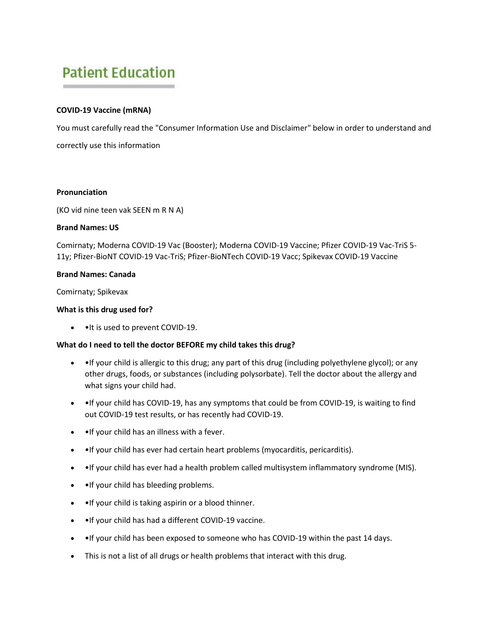# **Patient Education**

# **COVID-19 Vaccine (mRNA)**

You must carefully read the "Consumer Information Use and Disclaimer" below in order to understand and correctly use this information

#### **Pronunciation**

(KO vid nine teen vak SEEN m R N A)

#### **Brand Names: US**

Comirnaty; Moderna COVID-19 Vac (Booster); Moderna COVID-19 Vaccine; Pfizer COVID-19 Vac-TriS 5- 11y; Pfizer-BioNT COVID-19 Vac-TriS; Pfizer-BioNTech COVID-19 Vacc; Spikevax COVID-19 Vaccine

# **Brand Names: Canada**

Comirnaty; Spikevax

#### **What is this drug used for?**

• • It is used to prevent COVID-19.

# **What do I need to tell the doctor BEFORE my child takes this drug?**

- • If your child is allergic to this drug; any part of this drug (including polyethylene glycol); or any other drugs, foods, or substances (including polysorbate). Tell the doctor about the allergy and what signs your child had.
- • If your child has COVID-19, has any symptoms that could be from COVID-19, is waiting to find out COVID-19 test results, or has recently had COVID-19.
- •If your child has an illness with a fever.
- •If your child has ever had certain heart problems (myocarditis, pericarditis).
- • If your child has ever had a health problem called multisystem inflammatory syndrome (MIS).
- • If your child has bleeding problems.
- •If your child is taking aspirin or a blood thinner.
- •If your child has had a different COVID-19 vaccine.
- •If your child has been exposed to someone who has COVID-19 within the past 14 days.
- This is not a list of all drugs or health problems that interact with this drug.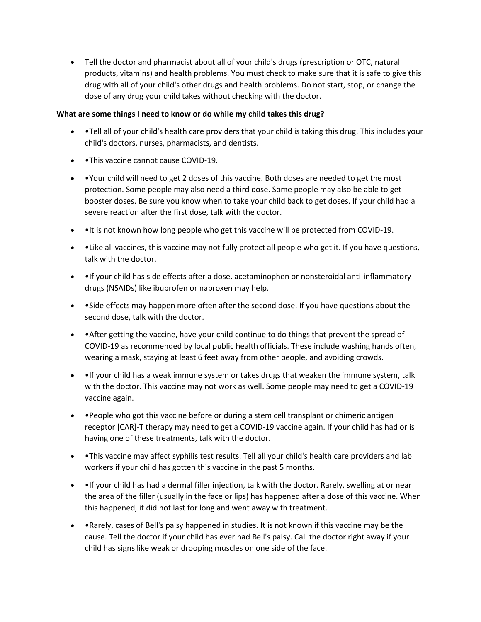• Tell the doctor and pharmacist about all of your child's drugs (prescription or OTC, natural products, vitamins) and health problems. You must check to make sure that it is safe to give this drug with all of your child's other drugs and health problems. Do not start, stop, or change the dose of any drug your child takes without checking with the doctor.

# **What are some things I need to know or do while my child takes this drug?**

- •Tell all of your child's health care providers that your child is taking this drug. This includes your child's doctors, nurses, pharmacists, and dentists.
- •This vaccine cannot cause COVID-19.
- •Your child will need to get 2 doses of this vaccine. Both doses are needed to get the most protection. Some people may also need a third dose. Some people may also be able to get booster doses. Be sure you know when to take your child back to get doses. If your child had a severe reaction after the first dose, talk with the doctor.
- • It is not known how long people who get this vaccine will be protected from COVID-19.
- •Like all vaccines, this vaccine may not fully protect all people who get it. If you have questions, talk with the doctor.
- • If your child has side effects after a dose, acetaminophen or nonsteroidal anti-inflammatory drugs (NSAIDs) like ibuprofen or naproxen may help.
- •Side effects may happen more often after the second dose. If you have questions about the second dose, talk with the doctor.
- • After getting the vaccine, have your child continue to do things that prevent the spread of COVID-19 as recommended by local public health officials. These include washing hands often, wearing a mask, staying at least 6 feet away from other people, and avoiding crowds.
- • If your child has a weak immune system or takes drugs that weaken the immune system, talk with the doctor. This vaccine may not work as well. Some people may need to get a COVID-19 vaccine again.
- • People who got this vaccine before or during a stem cell transplant or chimeric antigen receptor [CAR]-T therapy may need to get a COVID-19 vaccine again. If your child has had or is having one of these treatments, talk with the doctor.
- •This vaccine may affect syphilis test results. Tell all your child's health care providers and lab workers if your child has gotten this vaccine in the past 5 months.
- • If your child has had a dermal filler injection, talk with the doctor. Rarely, swelling at or near the area of the filler (usually in the face or lips) has happened after a dose of this vaccine. When this happened, it did not last for long and went away with treatment.
- •Rarely, cases of Bell's palsy happened in studies. It is not known if this vaccine may be the cause. Tell the doctor if your child has ever had Bell's palsy. Call the doctor right away if your child has signs like weak or drooping muscles on one side of the face.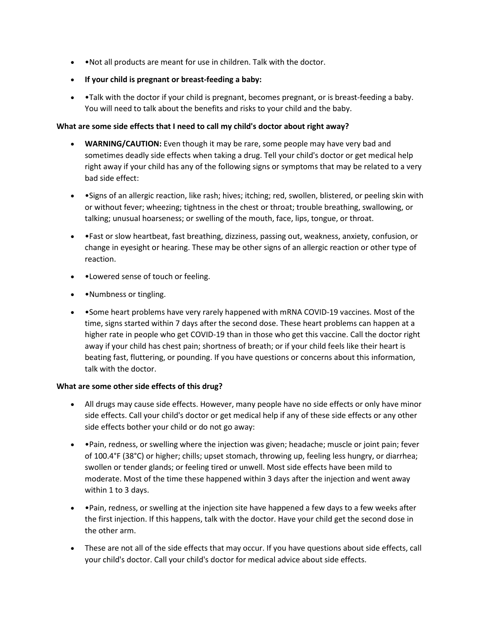- •Not all products are meant for use in children. Talk with the doctor.
- **If your child is pregnant or breast-feeding a baby:**
- • Talk with the doctor if your child is pregnant, becomes pregnant, or is breast-feeding a baby. You will need to talk about the benefits and risks to your child and the baby.

# **What are some side effects that I need to call my child's doctor about right away?**

- **WARNING/CAUTION:** Even though it may be rare, some people may have very bad and sometimes deadly side effects when taking a drug. Tell your child's doctor or get medical help right away if your child has any of the following signs or symptoms that may be related to a very bad side effect:
- •Signs of an allergic reaction, like rash; hives; itching; red, swollen, blistered, or peeling skin with or without fever; wheezing; tightness in the chest or throat; trouble breathing, swallowing, or talking; unusual hoarseness; or swelling of the mouth, face, lips, tongue, or throat.
- •Fast or slow heartbeat, fast breathing, dizziness, passing out, weakness, anxiety, confusion, or change in eyesight or hearing. These may be other signs of an allergic reaction or other type of reaction.
- •Lowered sense of touch or feeling.
- • Numbness or tingling.
- •Some heart problems have very rarely happened with mRNA COVID-19 vaccines. Most of the time, signs started within 7 days after the second dose. These heart problems can happen at a higher rate in people who get COVID-19 than in those who get this vaccine. Call the doctor right away if your child has chest pain; shortness of breath; or if your child feels like their heart is beating fast, fluttering, or pounding. If you have questions or concerns about this information, talk with the doctor.

# **What are some other side effects of this drug?**

- All drugs may cause side effects. However, many people have no side effects or only have minor side effects. Call your child's doctor or get medical help if any of these side effects or any other side effects bother your child or do not go away:
- •Pain, redness, or swelling where the injection was given; headache; muscle or joint pain; fever of 100.4°F (38°C) or higher; chills; upset stomach, throwing up, feeling less hungry, or diarrhea; swollen or tender glands; or feeling tired or unwell. Most side effects have been mild to moderate. Most of the time these happened within 3 days after the injection and went away within 1 to 3 days.
- •Pain, redness, or swelling at the injection site have happened a few days to a few weeks after the first injection. If this happens, talk with the doctor. Have your child get the second dose in the other arm.
- These are not all of the side effects that may occur. If you have questions about side effects, call your child's doctor. Call your child's doctor for medical advice about side effects.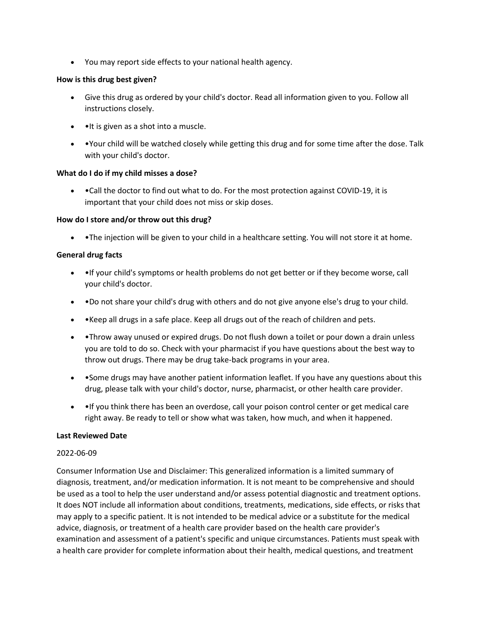• You may report side effects to your national health agency.

# **How is this drug best given?**

- Give this drug as ordered by your child's doctor. Read all information given to you. Follow all instructions closely.
- • It is given as a shot into a muscle.
- •Your child will be watched closely while getting this drug and for some time after the dose. Talk with your child's doctor.

# **What do I do if my child misses a dose?**

• •Call the doctor to find out what to do. For the most protection against COVID-19, it is important that your child does not miss or skip doses.

# **How do I store and/or throw out this drug?**

• • The injection will be given to your child in a healthcare setting. You will not store it at home.

# **General drug facts**

- •If your child's symptoms or health problems do not get better or if they become worse, call your child's doctor.
- •Do not share your child's drug with others and do not give anyone else's drug to your child.
- •Keep all drugs in a safe place. Keep all drugs out of the reach of children and pets.
- • Throw away unused or expired drugs. Do not flush down a toilet or pour down a drain unless you are told to do so. Check with your pharmacist if you have questions about the best way to throw out drugs. There may be drug take-back programs in your area.
- • Some drugs may have another patient information leaflet. If you have any questions about this drug, please talk with your child's doctor, nurse, pharmacist, or other health care provider.
- • If you think there has been an overdose, call your poison control center or get medical care right away. Be ready to tell or show what was taken, how much, and when it happened.

# **Last Reviewed Date**

# 2022-06-09

Consumer Information Use and Disclaimer: This generalized information is a limited summary of diagnosis, treatment, and/or medication information. It is not meant to be comprehensive and should be used as a tool to help the user understand and/or assess potential diagnostic and treatment options. It does NOT include all information about conditions, treatments, medications, side effects, or risks that may apply to a specific patient. It is not intended to be medical advice or a substitute for the medical advice, diagnosis, or treatment of a health care provider based on the health care provider's examination and assessment of a patient's specific and unique circumstances. Patients must speak with a health care provider for complete information about their health, medical questions, and treatment